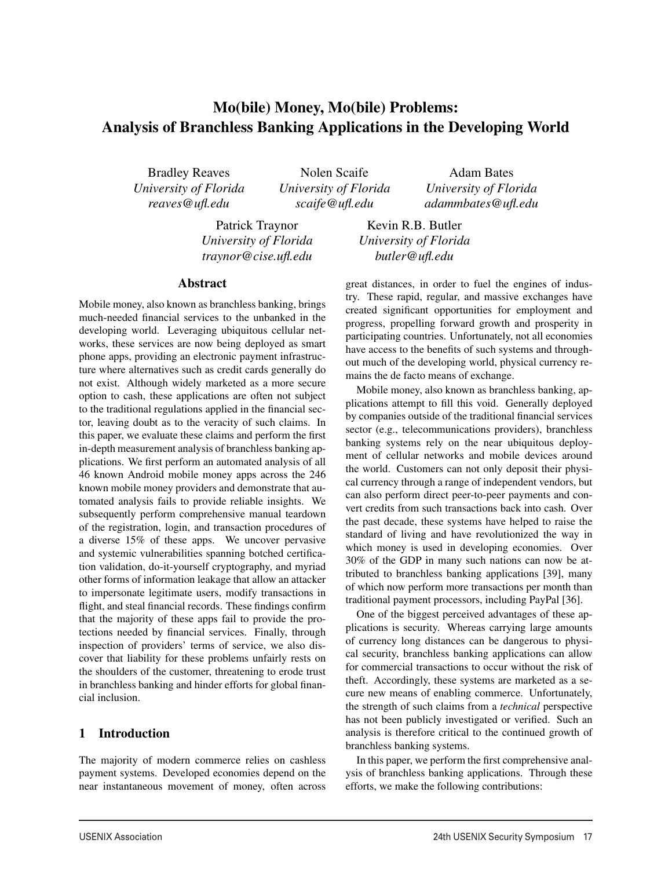# Mo(bile) Money, Mo(bile) Problems: Analysis of Branchless Banking Applications in the Developing World

Bradley Reaves *University of Florida reaves@ufl.edu*

Nolen Scaife *University of Florida scaife@ufl.edu*

1

Adam Bates *University of Florida adammbates@ufl.edu*

Patrick Traynor *University of Florida traynor@cise.ufl.edu*

### Abstract

Mobile money, also known as branchless banking, brings much-needed financial services to the unbanked in the developing world. Leveraging ubiquitous cellular networks, these services are now being deployed as smart phone apps, providing an electronic payment infrastructure where alternatives such as credit cards generally do not exist. Although widely marketed as a more secure option to cash, these applications are often not subject to the traditional regulations applied in the financial sector, leaving doubt as to the veracity of such claims. In this paper, we evaluate these claims and perform the first in-depth measurement analysis of branchless banking applications. We first perform an automated analysis of all 46 known Android mobile money apps across the 246 known mobile money providers and demonstrate that automated analysis fails to provide reliable insights. We subsequently perform comprehensive manual teardown of the registration, login, and transaction procedures of a diverse 15% of these apps. We uncover pervasive and systemic vulnerabilities spanning botched certification validation, do-it-yourself cryptography, and myriad other forms of information leakage that allow an attacker to impersonate legitimate users, modify transactions in flight, and steal financial records. These findings confirm that the majority of these apps fail to provide the protections needed by financial services. Finally, through inspection of providers' terms of service, we also discover that liability for these problems unfairly rests on the shoulders of the customer, threatening to erode trust in branchless banking and hinder efforts for global financial inclusion.

### 1 Introduction

The majority of modern commerce relies on cashless payment systems. Developed economies depend on the near instantaneous movement of money, often across

Kevin R.B. Butler *University of Florida butler@ufl.edu*

great distances, in order to fuel the engines of industry. These rapid, regular, and massive exchanges have created significant opportunities for employment and progress, propelling forward growth and prosperity in participating countries. Unfortunately, not all economies have access to the benefits of such systems and throughout much of the developing world, physical currency remains the de facto means of exchange.

Mobile money, also known as branchless banking, applications attempt to fill this void. Generally deployed by companies outside of the traditional financial services sector (e.g., telecommunications providers), branchless banking systems rely on the near ubiquitous deployment of cellular networks and mobile devices around the world. Customers can not only deposit their physical currency through a range of independent vendors, but can also perform direct peer-to-peer payments and convert credits from such transactions back into cash. Over the past decade, these systems have helped to raise the standard of living and have revolutionized the way in which money is used in developing economies. Over 30% of the GDP in many such nations can now be attributed to branchless banking applications [39], many of which now perform more transactions per month than traditional payment processors, including PayPal [36].

One of the biggest perceived advantages of these applications is security. Whereas carrying large amounts of currency long distances can be dangerous to physical security, branchless banking applications can allow for commercial transactions to occur without the risk of theft. Accordingly, these systems are marketed as a secure new means of enabling commerce. Unfortunately, the strength of such claims from a *technical* perspective has not been publicly investigated or verified. Such an analysis is therefore critical to the continued growth of branchless banking systems.

In this paper, we perform the first comprehensive analysis of branchless banking applications. Through these efforts, we make the following contributions: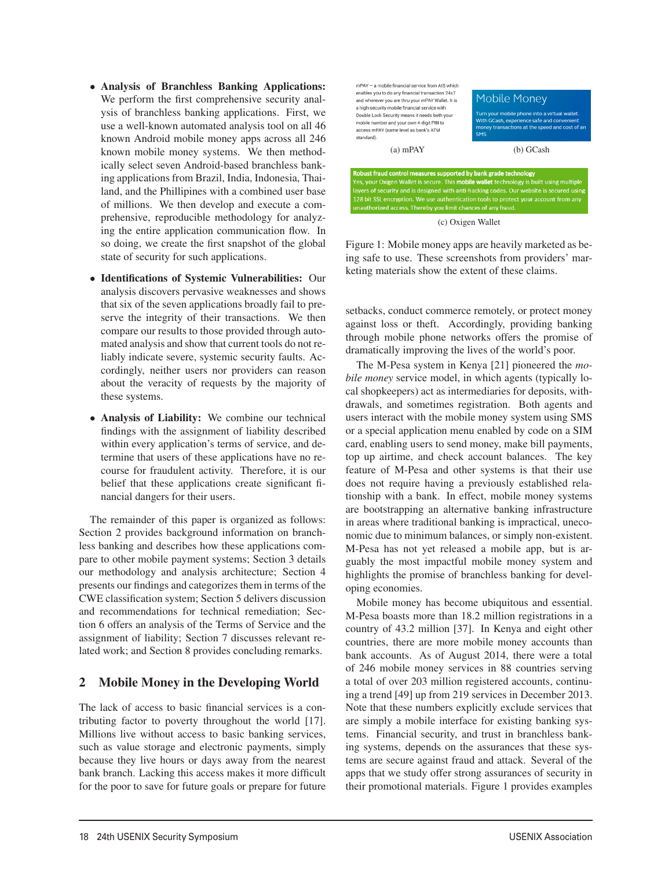- Analysis of Branchless Banking Applications: We perform the first comprehensive security analysis of branchless banking applications. First, we use a well-known automated analysis tool on all 46 known Android mobile money apps across all 246 known mobile money systems. We then methodically select seven Android-based branchless banking applications from Brazil, India, Indonesia, Thailand, and the Phillipines with a combined user base of millions. We then develop and execute a comprehensive, reproducible methodology for analyzing the entire application communication flow. In so doing, we create the first snapshot of the global state of security for such applications.
- Identifications of Systemic Vulnerabilities: Our analysis discovers pervasive weaknesses and shows that six of the seven applications broadly fail to preserve the integrity of their transactions. We then compare our results to those provided through automated analysis and show that current tools do not reliably indicate severe, systemic security faults. Accordingly, neither users nor providers can reason about the veracity of requests by the majority of these systems.
- Analysis of Liability: We combine our technical findings with the assignment of liability described within every application's terms of service, and determine that users of these applications have no recourse for fraudulent activity. Therefore, it is our belief that these applications create significant financial dangers for their users.

The remainder of this paper is organized as follows: Section 2 provides background information on branchless banking and describes how these applications compare to other mobile payment systems; Section 3 details our methodology and analysis architecture; Section 4 presents our findings and categorizes them in terms of the CWE classification system; Section 5 delivers discussion and recommendations for technical remediation; Section 6 offers an analysis of the Terms of Service and the assignment of liability; Section 7 discusses relevant related work; and Section 8 provides concluding remarks.

### 2 Mobile Money in the Developing World

The lack of access to basic financial services is a contributing factor to poverty throughout the world [17]. Millions live without access to basic banking services, such as value storage and electronic payments, simply because they live hours or days away from the nearest bank branch. Lacking this access makes it more difficult for the poor to save for future goals or prepare for future

2



(c) Oxigen Wallet

Figure 1: Mobile money apps are heavily marketed as being safe to use. These screenshots from providers' marketing materials show the extent of these claims.

setbacks, conduct commerce remotely, or protect money against loss or theft. Accordingly, providing banking through mobile phone networks offers the promise of dramatically improving the lives of the world's poor.

The M-Pesa system in Kenya [21] pioneered the *mobile money* service model, in which agents (typically local shopkeepers) act as intermediaries for deposits, withdrawals, and sometimes registration. Both agents and users interact with the mobile money system using SMS or a special application menu enabled by code on a SIM card, enabling users to send money, make bill payments, top up airtime, and check account balances. The key feature of M-Pesa and other systems is that their use does not require having a previously established relationship with a bank. In effect, mobile money systems are bootstrapping an alternative banking infrastructure in areas where traditional banking is impractical, uneconomic due to minimum balances, or simply non-existent. M-Pesa has not yet released a mobile app, but is arguably the most impactful mobile money system and highlights the promise of branchless banking for developing economies.

Mobile money has become ubiquitous and essential. M-Pesa boasts more than 18.2 million registrations in a country of 43.2 million [37]. In Kenya and eight other countries, there are more mobile money accounts than bank accounts. As of August 2014, there were a total of 246 mobile money services in 88 countries serving a total of over 203 million registered accounts, continuing a trend [49] up from 219 services in December 2013. Note that these numbers explicitly exclude services that are simply a mobile interface for existing banking systems. Financial security, and trust in branchless banking systems, depends on the assurances that these systems are secure against fraud and attack. Several of the apps that we study offer strong assurances of security in their promotional materials. Figure 1 provides examples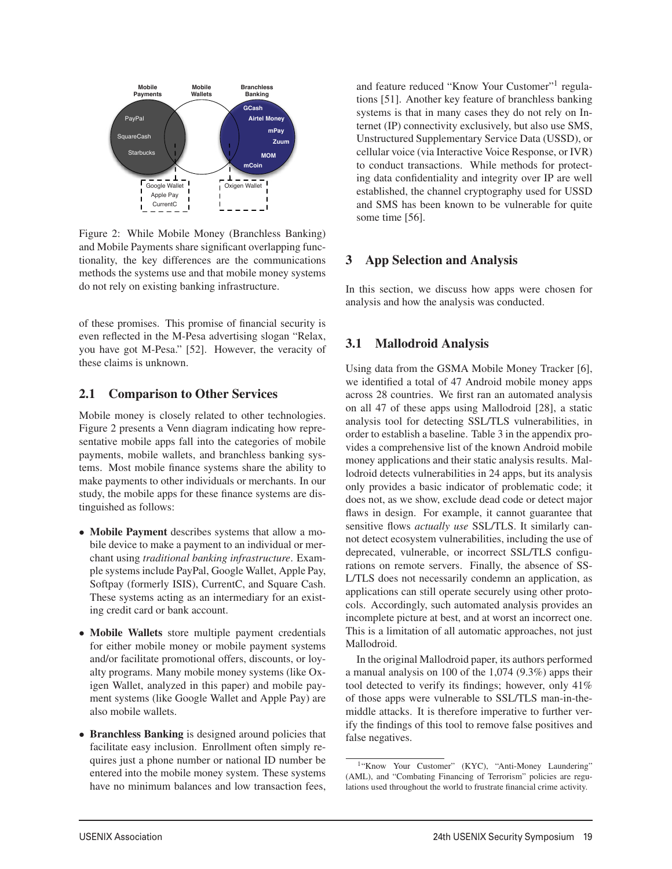

Figure 2: While Mobile Money (Branchless Banking) and Mobile Payments share significant overlapping functionality, the key differences are the communications methods the systems use and that mobile money systems do not rely on existing banking infrastructure.

of these promises. This promise of financial security is even reflected in the M-Pesa advertising slogan "Relax, you have got M-Pesa." [52]. However, the veracity of these claims is unknown.

#### 2.1 Comparison to Other Services

Mobile money is closely related to other technologies. Figure 2 presents a Venn diagram indicating how representative mobile apps fall into the categories of mobile payments, mobile wallets, and branchless banking systems. Most mobile finance systems share the ability to make payments to other individuals or merchants. In our study, the mobile apps for these finance systems are distinguished as follows:

- Mobile Payment describes systems that allow a mobile device to make a payment to an individual or merchant using *traditional banking infrastructure*. Example systems include PayPal, Google Wallet, Apple Pay, Softpay (formerly ISIS), CurrentC, and Square Cash. These systems acting as an intermediary for an existing credit card or bank account.
- Mobile Wallets store multiple payment credentials for either mobile money or mobile payment systems and/or facilitate promotional offers, discounts, or loyalty programs. Many mobile money systems (like Oxigen Wallet, analyzed in this paper) and mobile payment systems (like Google Wallet and Apple Pay) are also mobile wallets.
- Branchless Banking is designed around policies that facilitate easy inclusion. Enrollment often simply requires just a phone number or national ID number be entered into the mobile money system. These systems have no minimum balances and low transaction fees,

and feature reduced "Know Your Customer"<sup>1</sup> regulations [51]. Another key feature of branchless banking systems is that in many cases they do not rely on Internet (IP) connectivity exclusively, but also use SMS, Unstructured Supplementary Service Data (USSD), or cellular voice (via Interactive Voice Response, or IVR) to conduct transactions. While methods for protecting data confidentiality and integrity over IP are well established, the channel cryptography used for USSD and SMS has been known to be vulnerable for quite some time [56].

#### 3 App Selection and Analysis

In this section, we discuss how apps were chosen for analysis and how the analysis was conducted.

### 3.1 Mallodroid Analysis

Using data from the GSMA Mobile Money Tracker [6], we identified a total of 47 Android mobile money apps across 28 countries. We first ran an automated analysis on all 47 of these apps using Mallodroid [28], a static analysis tool for detecting SSL/TLS vulnerabilities, in order to establish a baseline. Table 3 in the appendix provides a comprehensive list of the known Android mobile money applications and their static analysis results. Mallodroid detects vulnerabilities in 24 apps, but its analysis only provides a basic indicator of problematic code; it does not, as we show, exclude dead code or detect major flaws in design. For example, it cannot guarantee that sensitive flows *actually use* SSL/TLS. It similarly cannot detect ecosystem vulnerabilities, including the use of deprecated, vulnerable, or incorrect SSL/TLS configurations on remote servers. Finally, the absence of SS-L/TLS does not necessarily condemn an application, as applications can still operate securely using other protocols. Accordingly, such automated analysis provides an incomplete picture at best, and at worst an incorrect one. This is a limitation of all automatic approaches, not just Mallodroid.

In the original Mallodroid paper, its authors performed a manual analysis on 100 of the 1,074 (9.3%) apps their tool detected to verify its findings; however, only 41% of those apps were vulnerable to SSL/TLS man-in-themiddle attacks. It is therefore imperative to further verify the findings of this tool to remove false positives and false negatives.

<sup>&</sup>lt;sup>1</sup>"Know Your Customer" (KYC), "Anti-Money Laundering" (AML), and "Combating Financing of Terrorism" policies are regulations used throughout the world to frustrate financial crime activity.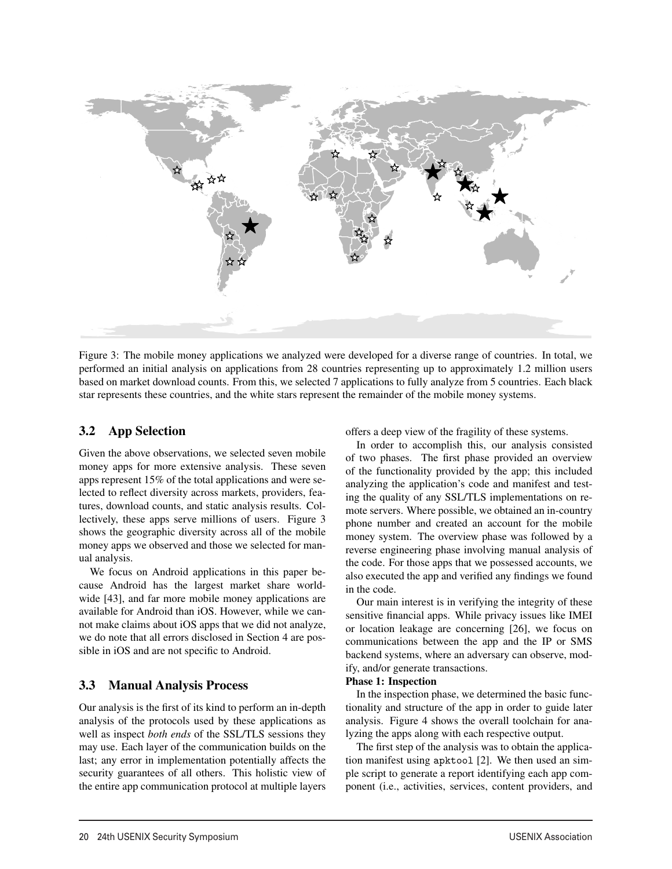

Figure 3: The mobile money applications we analyzed were developed for a diverse range of countries. In total, we performed an initial analysis on applications from 28 countries representing up to approximately 1.2 million users based on market download counts. From this, we selected 7 applications to fully analyze from 5 countries. Each black star represents these countries, and the white stars represent the remainder of the mobile money systems.

### 3.2 App Selection

Given the above observations, we selected seven mobile money apps for more extensive analysis. These seven apps represent 15% of the total applications and were selected to reflect diversity across markets, providers, features, download counts, and static analysis results. Collectively, these apps serve millions of users. Figure 3 shows the geographic diversity across all of the mobile money apps we observed and those we selected for manual analysis.

We focus on Android applications in this paper because Android has the largest market share worldwide [43], and far more mobile money applications are available for Android than iOS. However, while we cannot make claims about iOS apps that we did not analyze, we do note that all errors disclosed in Section 4 are possible in iOS and are not specific to Android.

## 3.3 Manual Analysis Process

Our analysis is the first of its kind to perform an in-depth analysis of the protocols used by these applications as well as inspect *both ends* of the SSL/TLS sessions they may use. Each layer of the communication builds on the last; any error in implementation potentially affects the security guarantees of all others. This holistic view of the entire app communication protocol at multiple layers offers a deep view of the fragility of these systems.

In order to accomplish this, our analysis consisted of two phases. The first phase provided an overview of the functionality provided by the app; this included analyzing the application's code and manifest and testing the quality of any SSL/TLS implementations on remote servers. Where possible, we obtained an in-country phone number and created an account for the mobile money system. The overview phase was followed by a reverse engineering phase involving manual analysis of the code. For those apps that we possessed accounts, we also executed the app and verified any findings we found in the code.

Our main interest is in verifying the integrity of these sensitive financial apps. While privacy issues like IMEI or location leakage are concerning [26], we focus on communications between the app and the IP or SMS backend systems, where an adversary can observe, modify, and/or generate transactions.

#### Phase 1: Inspection

4

In the inspection phase, we determined the basic functionality and structure of the app in order to guide later analysis. Figure 4 shows the overall toolchain for analyzing the apps along with each respective output.

The first step of the analysis was to obtain the application manifest using apktool [2]. We then used an simple script to generate a report identifying each app component (i.e., activities, services, content providers, and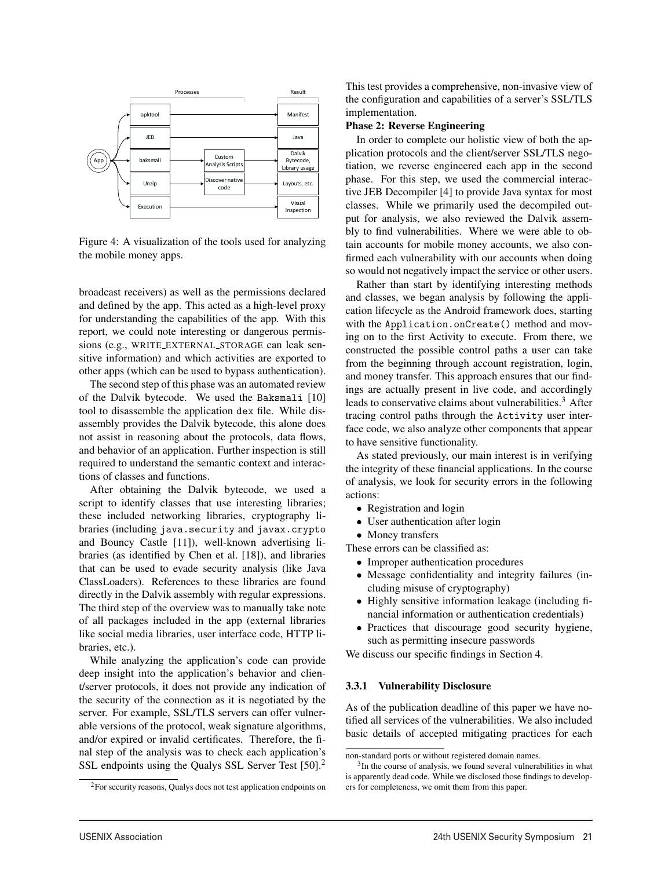

Figure 4: A visualization of the tools used for analyzing the mobile money apps.

broadcast receivers) as well as the permissions declared and defined by the app. This acted as a high-level proxy for understanding the capabilities of the app. With this report, we could note interesting or dangerous permissions (e.g., WRITE EXTERNAL STORAGE can leak sensitive information) and which activities are exported to other apps (which can be used to bypass authentication).

The second step of this phase was an automated review of the Dalvik bytecode. We used the Baksmali [10] tool to disassemble the application dex file. While disassembly provides the Dalvik bytecode, this alone does not assist in reasoning about the protocols, data flows, and behavior of an application. Further inspection is still required to understand the semantic context and interactions of classes and functions.

After obtaining the Dalvik bytecode, we used a script to identify classes that use interesting libraries; these included networking libraries, cryptography libraries (including java.security and javax.crypto and Bouncy Castle [11]), well-known advertising libraries (as identified by Chen et al. [18]), and libraries that can be used to evade security analysis (like Java ClassLoaders). References to these libraries are found directly in the Dalvik assembly with regular expressions. The third step of the overview was to manually take note of all packages included in the app (external libraries like social media libraries, user interface code, HTTP libraries, etc.).

While analyzing the application's code can provide deep insight into the application's behavior and client/server protocols, it does not provide any indication of the security of the connection as it is negotiated by the server. For example, SSL/TLS servers can offer vulnerable versions of the protocol, weak signature algorithms, and/or expired or invalid certificates. Therefore, the final step of the analysis was to check each application's SSL endpoints using the Qualys SSL Server Test [50].<sup>2</sup> This test provides a comprehensive, non-invasive view of the configuration and capabilities of a server's SSL/TLS implementation.

#### Phase 2: Reverse Engineering

In order to complete our holistic view of both the application protocols and the client/server SSL/TLS negotiation, we reverse engineered each app in the second phase. For this step, we used the commercial interactive JEB Decompiler [4] to provide Java syntax for most classes. While we primarily used the decompiled output for analysis, we also reviewed the Dalvik assembly to find vulnerabilities. Where we were able to obtain accounts for mobile money accounts, we also confirmed each vulnerability with our accounts when doing so would not negatively impact the service or other users.

Rather than start by identifying interesting methods and classes, we began analysis by following the application lifecycle as the Android framework does, starting with the Application.onCreate() method and moving on to the first Activity to execute. From there, we constructed the possible control paths a user can take from the beginning through account registration, login, and money transfer. This approach ensures that our findings are actually present in live code, and accordingly leads to conservative claims about vulnerabilities.<sup>3</sup> After tracing control paths through the Activity user interface code, we also analyze other components that appear to have sensitive functionality.

As stated previously, our main interest is in verifying the integrity of these financial applications. In the course of analysis, we look for security errors in the following actions:

- Registration and login
- User authentication after login
- Money transfers

These errors can be classified as:

- Improper authentication procedures
- Message confidentiality and integrity failures (including misuse of cryptography)
- Highly sensitive information leakage (including financial information or authentication credentials)
- Practices that discourage good security hygiene, such as permitting insecure passwords

We discuss our specific findings in Section 4.

#### 3.3.1 Vulnerability Disclosure

5

As of the publication deadline of this paper we have notified all services of the vulnerabilities. We also included basic details of accepted mitigating practices for each

<sup>2</sup>For security reasons, Qualys does not test application endpoints on

non-standard ports or without registered domain names.

<sup>&</sup>lt;sup>3</sup>In the course of analysis, we found several vulnerabilities in what is apparently dead code. While we disclosed those findings to developers for completeness, we omit them from this paper.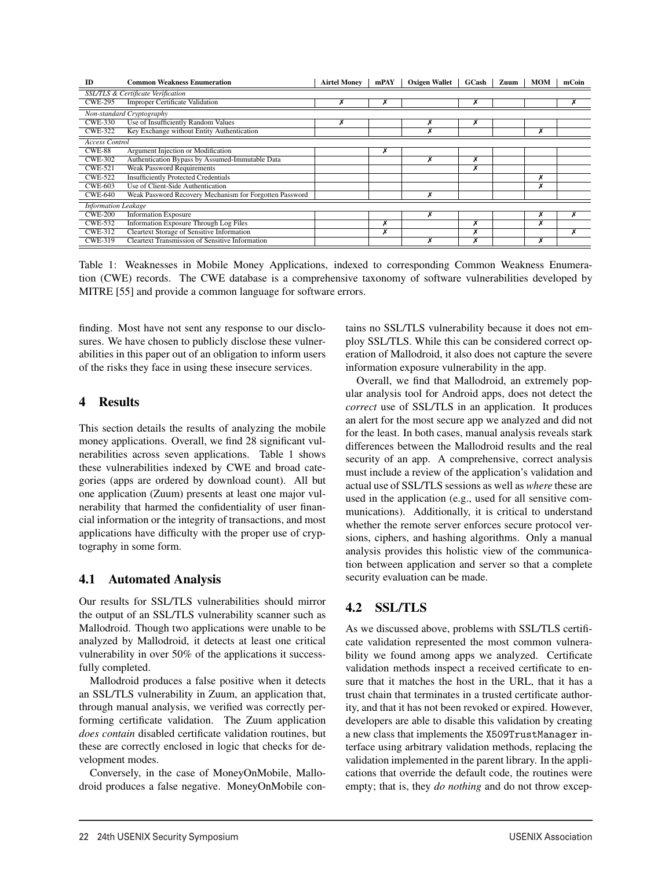| <b>ID</b>                                     | <b>Common Weakness Enumeration</b>                      | <b>Airtel Money</b> | mPAY | <b>Oxigen Wallet</b> | GCash | Zuum | <b>MOM</b> | mCoin |  |
|-----------------------------------------------|---------------------------------------------------------|---------------------|------|----------------------|-------|------|------------|-------|--|
| <b>SSL/TLS &amp; Certificate Verification</b> |                                                         |                     |      |                      |       |      |            |       |  |
| <b>CWE-295</b>                                | <b>Improper Certificate Validation</b>                  |                     | Х    |                      | Х     |      |            |       |  |
| Non-standard Cryptography                     |                                                         |                     |      |                      |       |      |            |       |  |
| <b>CWE-330</b>                                | Use of Insufficiently Random Values                     | ×                   |      | ↗                    | ×     |      |            |       |  |
| <b>CWE-322</b>                                | Key Exchange without Entity Authentication              |                     |      |                      |       |      | x          |       |  |
| <b>Access Control</b>                         |                                                         |                     |      |                      |       |      |            |       |  |
| <b>CWE-88</b>                                 | Argument Injection or Modification                      |                     | х    |                      |       |      |            |       |  |
| <b>CWE-302</b>                                | Authentication Bypass by Assumed-Immutable Data         |                     |      | A                    | Х     |      |            |       |  |
| <b>CWE-521</b>                                | <b>Weak Password Requirements</b>                       |                     |      |                      | X     |      |            |       |  |
| <b>CWE-522</b>                                | <b>Insufficiently Protected Credentials</b>             |                     |      |                      |       |      | х          |       |  |
| <b>CWE-603</b>                                | Use of Client-Side Authentication                       |                     |      |                      |       |      | х          |       |  |
| <b>CWE-640</b>                                | Weak Password Recovery Mechanism for Forgotten Password |                     |      | ^                    |       |      |            |       |  |
| <b>Information Leakage</b>                    |                                                         |                     |      |                      |       |      |            |       |  |
| <b>CWE-200</b>                                | <b>Information Exposure</b>                             |                     |      | ×                    |       |      | х          |       |  |
| <b>CWE-532</b>                                | <b>Information Exposure Through Log Files</b>           |                     | х    |                      | x     |      | х          |       |  |
| <b>CWE-312</b>                                | Cleartext Storage of Sensitive Information              |                     | х    |                      | Х     |      |            | х     |  |
| <b>CWE-319</b>                                | <b>Cleartext Transmission of Sensitive Information</b>  |                     |      | ^                    | Х     |      | х          |       |  |

Table 1: Weaknesses in Mobile Money Applications, indexed to corresponding Common Weakness Enumeration (CWE) records. The CWE database is a comprehensive taxonomy of software vulnerabilities developed by MITRE [55] and provide a common language for software errors.

finding. Most have not sent any response to our disclosures. We have chosen to publicly disclose these vulnerabilities in this paper out of an obligation to inform users of the risks they face in using these insecure services.

### 4 Results

This section details the results of analyzing the mobile money applications. Overall, we find 28 significant vulnerabilities across seven applications. Table 1 shows these vulnerabilities indexed by CWE and broad categories (apps are ordered by download count). All but one application (Zuum) presents at least one major vulnerability that harmed the confidentiality of user financial information or the integrity of transactions, and most applications have difficulty with the proper use of cryptography in some form.

## 4.1 Automated Analysis

Our results for SSL/TLS vulnerabilities should mirror the output of an SSL/TLS vulnerability scanner such as Mallodroid. Though two applications were unable to be analyzed by Mallodroid, it detects at least one critical vulnerability in over 50% of the applications it successfully completed.

Mallodroid produces a false positive when it detects an SSL/TLS vulnerability in Zuum, an application that, through manual analysis, we verified was correctly performing certificate validation. The Zuum application *does contain* disabled certificate validation routines, but these are correctly enclosed in logic that checks for development modes.

Conversely, in the case of MoneyOnMobile, Mallodroid produces a false negative. MoneyOnMobile contains no SSL/TLS vulnerability because it does not employ SSL/TLS. While this can be considered correct operation of Mallodroid, it also does not capture the severe information exposure vulnerability in the app.

Overall, we find that Mallodroid, an extremely popular analysis tool for Android apps, does not detect the *correct* use of SSL/TLS in an application. It produces an alert for the most secure app we analyzed and did not for the least. In both cases, manual analysis reveals stark differences between the Mallodroid results and the real security of an app. A comprehensive, correct analysis must include a review of the application's validation and actual use of SSL/TLS sessions as well as *where* these are used in the application (e.g., used for all sensitive communications). Additionally, it is critical to understand whether the remote server enforces secure protocol versions, ciphers, and hashing algorithms. Only a manual analysis provides this holistic view of the communication between application and server so that a complete security evaluation can be made.

# 4.2 SSL/TLS

6

As we discussed above, problems with SSL/TLS certificate validation represented the most common vulnerability we found among apps we analyzed. Certificate validation methods inspect a received certificate to ensure that it matches the host in the URL, that it has a trust chain that terminates in a trusted certificate authority, and that it has not been revoked or expired. However, developers are able to disable this validation by creating a new class that implements the X509TrustManager interface using arbitrary validation methods, replacing the validation implemented in the parent library. In the applications that override the default code, the routines were empty; that is, they *do nothing* and do not throw excep-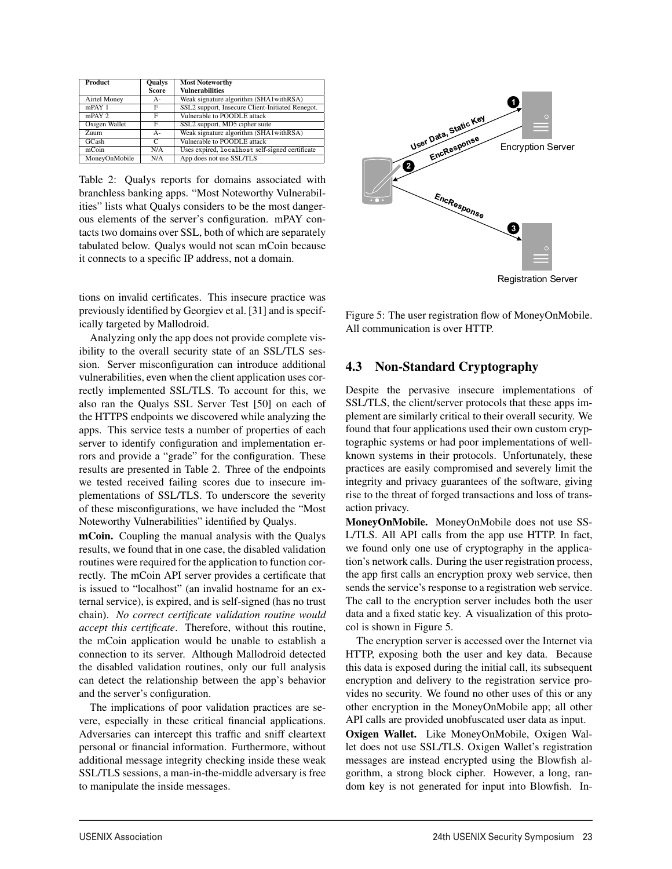| <b>Product</b> | <b>Oualys</b><br><b>Score</b> | <b>Most Noteworthy</b><br><b>Vulnerabilities</b> |
|----------------|-------------------------------|--------------------------------------------------|
| Airtel Money   | $A -$                         | Weak signature algorithm (SHA1withRSA)           |
| mPAY 1         | F                             | SSL2 support, Insecure Client-Initiated Renegot. |
| mPAY 2         | F                             | Vulnerable to POODLE attack                      |
| Oxigen Wallet  | F                             | SSL2 support, MD5 cipher suite                   |
| Zuum           | $A -$                         | Weak signature algorithm (SHA1withRSA)           |
| GCash          | C                             | Vulnerable to POODLE attack                      |
| mCoin          | N/A                           | Uses expired, localhost self-signed certificate  |
| MoneyOnMobile  | N/A                           | App does not use SSL/TLS                         |

Table 2: Qualys reports for domains associated with branchless banking apps. "Most Noteworthy Vulnerabilities" lists what Qualys considers to be the most dangerous elements of the server's configuration. mPAY contacts two domains over SSL, both of which are separately tabulated below. Qualys would not scan mCoin because it connects to a specific IP address, not a domain.

tions on invalid certificates. This insecure practice was previously identified by Georgiev et al. [31] and is specifically targeted by Mallodroid.

Analyzing only the app does not provide complete visibility to the overall security state of an SSL/TLS session. Server misconfiguration can introduce additional vulnerabilities, even when the client application uses correctly implemented SSL/TLS. To account for this, we also ran the Qualys SSL Server Test [50] on each of the HTTPS endpoints we discovered while analyzing the apps. This service tests a number of properties of each server to identify configuration and implementation errors and provide a "grade" for the configuration. These results are presented in Table 2. Three of the endpoints we tested received failing scores due to insecure implementations of SSL/TLS. To underscore the severity of these misconfigurations, we have included the "Most Noteworthy Vulnerabilities" identified by Qualys.

mCoin. Coupling the manual analysis with the Qualys results, we found that in one case, the disabled validation routines were required for the application to function correctly. The mCoin API server provides a certificate that is issued to "localhost" (an invalid hostname for an external service), is expired, and is self-signed (has no trust chain). *No correct certificate validation routine would accept this certificate*. Therefore, without this routine, the mCoin application would be unable to establish a connection to its server. Although Mallodroid detected the disabled validation routines, only our full analysis can detect the relationship between the app's behavior and the server's configuration.

The implications of poor validation practices are severe, especially in these critical financial applications. Adversaries can intercept this traffic and sniff cleartext personal or financial information. Furthermore, without additional message integrity checking inside these weak SSL/TLS sessions, a man-in-the-middle adversary is free to manipulate the inside messages.



Figure 5: The user registration flow of MoneyOnMobile. All communication is over HTTP.

### 4.3 Non-Standard Cryptography

Despite the pervasive insecure implementations of SSL/TLS, the client/server protocols that these apps implement are similarly critical to their overall security. We found that four applications used their own custom cryptographic systems or had poor implementations of wellknown systems in their protocols. Unfortunately, these practices are easily compromised and severely limit the integrity and privacy guarantees of the software, giving rise to the threat of forged transactions and loss of transaction privacy.

MoneyOnMobile. MoneyOnMobile does not use SS-L/TLS. All API calls from the app use HTTP. In fact, we found only one use of cryptography in the application's network calls. During the user registration process, the app first calls an encryption proxy web service, then sends the service's response to a registration web service. The call to the encryption server includes both the user data and a fixed static key. A visualization of this protocol is shown in Figure 5.

The encryption server is accessed over the Internet via HTTP, exposing both the user and key data. Because this data is exposed during the initial call, its subsequent encryption and delivery to the registration service provides no security. We found no other uses of this or any other encryption in the MoneyOnMobile app; all other API calls are provided unobfuscated user data as input.

Oxigen Wallet. Like MoneyOnMobile, Oxigen Wallet does not use SSL/TLS. Oxigen Wallet's registration messages are instead encrypted using the Blowfish algorithm, a strong block cipher. However, a long, random key is not generated for input into Blowfish. In-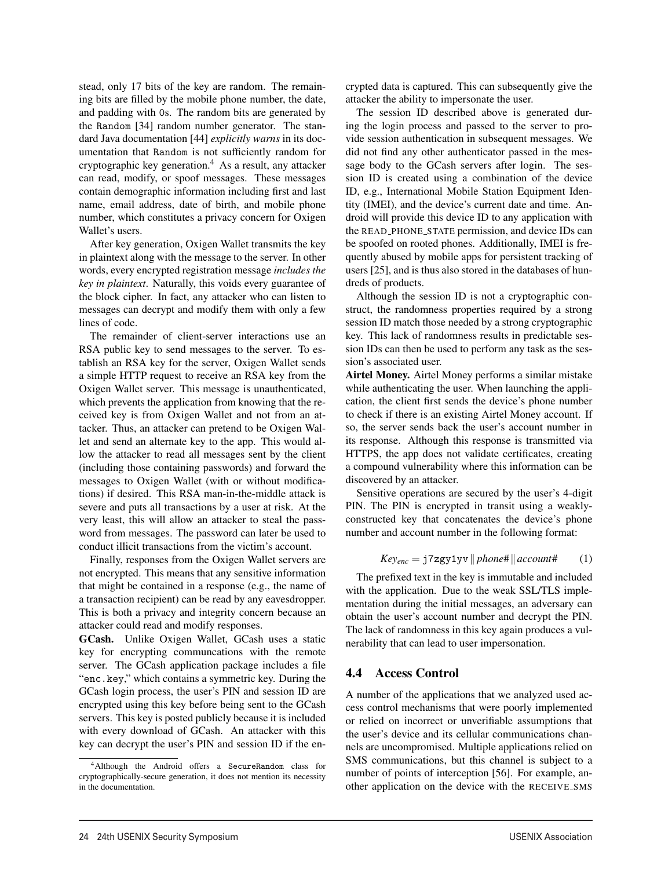stead, only 17 bits of the key are random. The remaining bits are filled by the mobile phone number, the date, and padding with 0s. The random bits are generated by the Random [34] random number generator. The standard Java documentation [44] *explicitly warns* in its documentation that Random is not sufficiently random for cryptographic key generation.<sup>4</sup> As a result, any attacker can read, modify, or spoof messages. These messages contain demographic information including first and last name, email address, date of birth, and mobile phone number, which constitutes a privacy concern for Oxigen Wallet's users.

After key generation, Oxigen Wallet transmits the key in plaintext along with the message to the server. In other words, every encrypted registration message *includes the key in plaintext*. Naturally, this voids every guarantee of the block cipher. In fact, any attacker who can listen to messages can decrypt and modify them with only a few lines of code.

The remainder of client-server interactions use an RSA public key to send messages to the server. To establish an RSA key for the server, Oxigen Wallet sends a simple HTTP request to receive an RSA key from the Oxigen Wallet server. This message is unauthenticated, which prevents the application from knowing that the received key is from Oxigen Wallet and not from an attacker. Thus, an attacker can pretend to be Oxigen Wallet and send an alternate key to the app. This would allow the attacker to read all messages sent by the client (including those containing passwords) and forward the messages to Oxigen Wallet (with or without modifications) if desired. This RSA man-in-the-middle attack is severe and puts all transactions by a user at risk. At the very least, this will allow an attacker to steal the password from messages. The password can later be used to conduct illicit transactions from the victim's account.

Finally, responses from the Oxigen Wallet servers are not encrypted. This means that any sensitive information that might be contained in a response (e.g., the name of a transaction recipient) can be read by any eavesdropper. This is both a privacy and integrity concern because an attacker could read and modify responses.

GCash. Unlike Oxigen Wallet, GCash uses a static key for encrypting communcations with the remote server. The GCash application package includes a file "enc.key," which contains a symmetric key. During the GCash login process, the user's PIN and session ID are encrypted using this key before being sent to the GCash servers. This key is posted publicly because it is included with every download of GCash. An attacker with this key can decrypt the user's PIN and session ID if the encrypted data is captured. This can subsequently give the attacker the ability to impersonate the user.

The session ID described above is generated during the login process and passed to the server to provide session authentication in subsequent messages. We did not find any other authenticator passed in the message body to the GCash servers after login. The session ID is created using a combination of the device ID, e.g., International Mobile Station Equipment Identity (IMEI), and the device's current date and time. Android will provide this device ID to any application with the READ PHONE STATE permission, and device IDs can be spoofed on rooted phones. Additionally, IMEI is frequently abused by mobile apps for persistent tracking of users [25], and is thus also stored in the databases of hundreds of products.

Although the session ID is not a cryptographic construct, the randomness properties required by a strong session ID match those needed by a strong cryptographic key. This lack of randomness results in predictable session IDs can then be used to perform any task as the session's associated user.

Airtel Money. Airtel Money performs a similar mistake while authenticating the user. When launching the application, the client first sends the device's phone number to check if there is an existing Airtel Money account. If so, the server sends back the user's account number in its response. Although this response is transmitted via HTTPS, the app does not validate certificates, creating a compound vulnerability where this information can be discovered by an attacker.

Sensitive operations are secured by the user's 4-digit PIN. The PIN is encrypted in transit using a weaklyconstructed key that concatenates the device's phone number and account number in the following format:

$$
Key_{enc} = j7zgy1yv || phone\#||account\# (1)
$$

The prefixed text in the key is immutable and included with the application. Due to the weak SSL/TLS implementation during the initial messages, an adversary can obtain the user's account number and decrypt the PIN. The lack of randomness in this key again produces a vulnerability that can lead to user impersonation.

## 4.4 Access Control

8

A number of the applications that we analyzed used access control mechanisms that were poorly implemented or relied on incorrect or unverifiable assumptions that the user's device and its cellular communications channels are uncompromised. Multiple applications relied on SMS communications, but this channel is subject to a number of points of interception [56]. For example, another application on the device with the RECEIVE SMS

<sup>4</sup>Although the Android offers a SecureRandom class for cryptographically-secure generation, it does not mention its necessity in the documentation.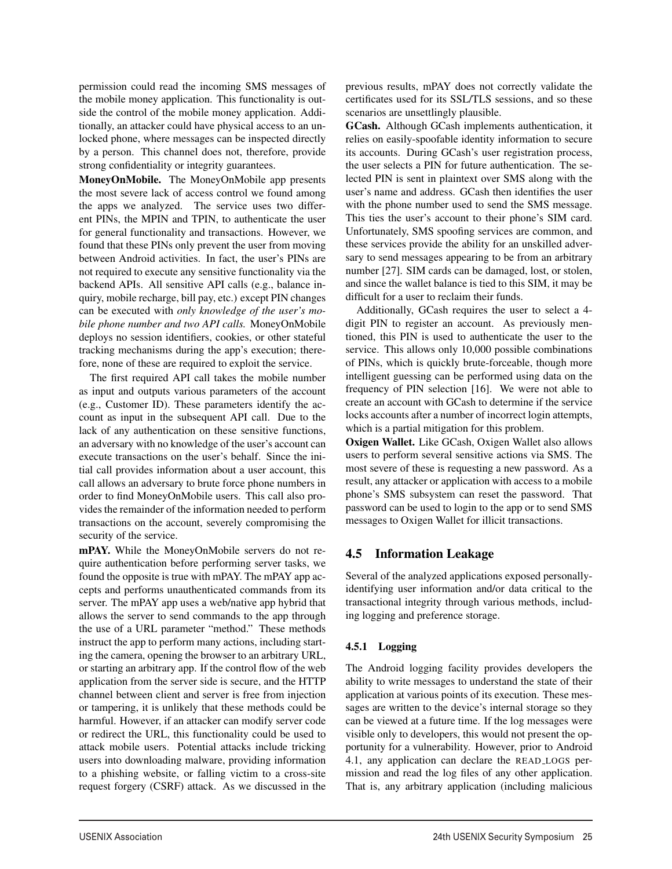permission could read the incoming SMS messages of the mobile money application. This functionality is outside the control of the mobile money application. Additionally, an attacker could have physical access to an unlocked phone, where messages can be inspected directly by a person. This channel does not, therefore, provide strong confidentiality or integrity guarantees.

MoneyOnMobile. The MoneyOnMobile app presents the most severe lack of access control we found among the apps we analyzed. The service uses two different PINs, the MPIN and TPIN, to authenticate the user for general functionality and transactions. However, we found that these PINs only prevent the user from moving between Android activities. In fact, the user's PINs are not required to execute any sensitive functionality via the backend APIs. All sensitive API calls (e.g., balance inquiry, mobile recharge, bill pay, etc.) except PIN changes can be executed with *only knowledge of the user's mobile phone number and two API calls.* MoneyOnMobile deploys no session identifiers, cookies, or other stateful tracking mechanisms during the app's execution; therefore, none of these are required to exploit the service.

The first required API call takes the mobile number as input and outputs various parameters of the account (e.g., Customer ID). These parameters identify the account as input in the subsequent API call. Due to the lack of any authentication on these sensitive functions, an adversary with no knowledge of the user's account can execute transactions on the user's behalf. Since the initial call provides information about a user account, this call allows an adversary to brute force phone numbers in order to find MoneyOnMobile users. This call also provides the remainder of the information needed to perform transactions on the account, severely compromising the security of the service.

mPAY. While the MoneyOnMobile servers do not require authentication before performing server tasks, we found the opposite is true with mPAY. The mPAY app accepts and performs unauthenticated commands from its server. The mPAY app uses a web/native app hybrid that allows the server to send commands to the app through the use of a URL parameter "method." These methods instruct the app to perform many actions, including starting the camera, opening the browser to an arbitrary URL, or starting an arbitrary app. If the control flow of the web application from the server side is secure, and the HTTP channel between client and server is free from injection or tampering, it is unlikely that these methods could be harmful. However, if an attacker can modify server code or redirect the URL, this functionality could be used to attack mobile users. Potential attacks include tricking users into downloading malware, providing information to a phishing website, or falling victim to a cross-site request forgery (CSRF) attack. As we discussed in the previous results, mPAY does not correctly validate the certificates used for its SSL/TLS sessions, and so these scenarios are unsettlingly plausible.

GCash. Although GCash implements authentication, it relies on easily-spoofable identity information to secure its accounts. During GCash's user registration process, the user selects a PIN for future authentication. The selected PIN is sent in plaintext over SMS along with the user's name and address. GCash then identifies the user with the phone number used to send the SMS message. This ties the user's account to their phone's SIM card. Unfortunately, SMS spoofing services are common, and these services provide the ability for an unskilled adversary to send messages appearing to be from an arbitrary number [27]. SIM cards can be damaged, lost, or stolen, and since the wallet balance is tied to this SIM, it may be difficult for a user to reclaim their funds.

Additionally, GCash requires the user to select a 4 digit PIN to register an account. As previously mentioned, this PIN is used to authenticate the user to the service. This allows only 10,000 possible combinations of PINs, which is quickly brute-forceable, though more intelligent guessing can be performed using data on the frequency of PIN selection [16]. We were not able to create an account with GCash to determine if the service locks accounts after a number of incorrect login attempts, which is a partial mitigation for this problem.

Oxigen Wallet. Like GCash, Oxigen Wallet also allows users to perform several sensitive actions via SMS. The most severe of these is requesting a new password. As a result, any attacker or application with access to a mobile phone's SMS subsystem can reset the password. That password can be used to login to the app or to send SMS messages to Oxigen Wallet for illicit transactions.

## 4.5 Information Leakage

Several of the analyzed applications exposed personallyidentifying user information and/or data critical to the transactional integrity through various methods, including logging and preference storage.

### 4.5.1 Logging

9

The Android logging facility provides developers the ability to write messages to understand the state of their application at various points of its execution. These messages are written to the device's internal storage so they can be viewed at a future time. If the log messages were visible only to developers, this would not present the opportunity for a vulnerability. However, prior to Android 4.1, any application can declare the READ LOGS permission and read the log files of any other application. That is, any arbitrary application (including malicious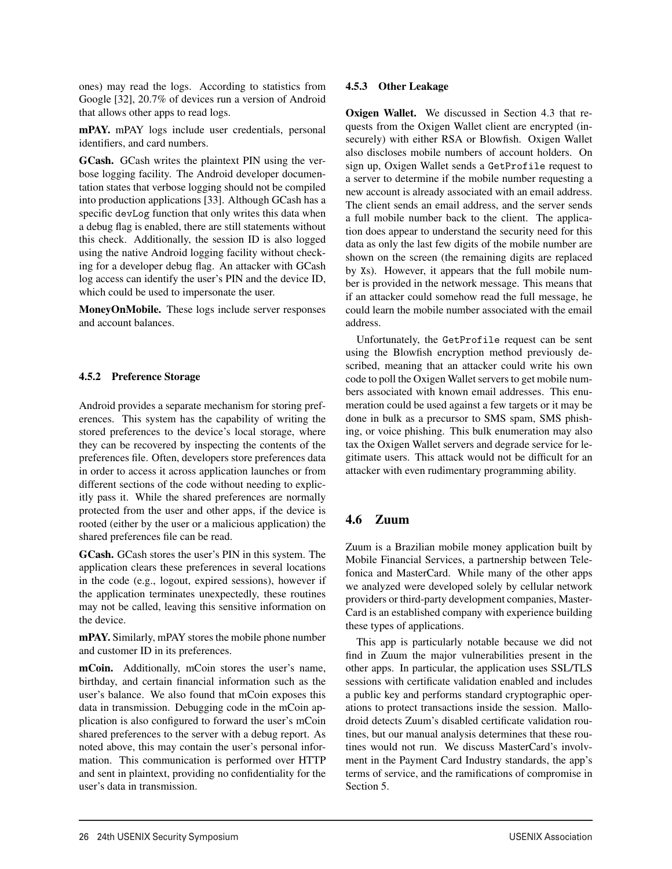ones) may read the logs. According to statistics from Google [32], 20.7% of devices run a version of Android that allows other apps to read logs.

mPAY. mPAY logs include user credentials, personal identifiers, and card numbers.

GCash. GCash writes the plaintext PIN using the verbose logging facility. The Android developer documentation states that verbose logging should not be compiled into production applications [33]. Although GCash has a specific devLog function that only writes this data when a debug flag is enabled, there are still statements without this check. Additionally, the session ID is also logged using the native Android logging facility without checking for a developer debug flag. An attacker with GCash log access can identify the user's PIN and the device ID, which could be used to impersonate the user.

MoneyOnMobile. These logs include server responses and account balances.

#### 4.5.2 Preference Storage

Android provides a separate mechanism for storing preferences. This system has the capability of writing the stored preferences to the device's local storage, where they can be recovered by inspecting the contents of the preferences file. Often, developers store preferences data in order to access it across application launches or from different sections of the code without needing to explicitly pass it. While the shared preferences are normally protected from the user and other apps, if the device is rooted (either by the user or a malicious application) the shared preferences file can be read.

GCash. GCash stores the user's PIN in this system. The application clears these preferences in several locations in the code (e.g., logout, expired sessions), however if the application terminates unexpectedly, these routines may not be called, leaving this sensitive information on the device.

mPAY. Similarly, mPAY stores the mobile phone number and customer ID in its preferences.

mCoin. Additionally, mCoin stores the user's name, birthday, and certain financial information such as the user's balance. We also found that mCoin exposes this data in transmission. Debugging code in the mCoin application is also configured to forward the user's mCoin shared preferences to the server with a debug report. As noted above, this may contain the user's personal information. This communication is performed over HTTP and sent in plaintext, providing no confidentiality for the user's data in transmission.

#### 4.5.3 Other Leakage

Oxigen Wallet. We discussed in Section 4.3 that requests from the Oxigen Wallet client are encrypted (insecurely) with either RSA or Blowfish. Oxigen Wallet also discloses mobile numbers of account holders. On sign up, Oxigen Wallet sends a GetProfile request to a server to determine if the mobile number requesting a new account is already associated with an email address. The client sends an email address, and the server sends a full mobile number back to the client. The application does appear to understand the security need for this data as only the last few digits of the mobile number are shown on the screen (the remaining digits are replaced by Xs). However, it appears that the full mobile number is provided in the network message. This means that if an attacker could somehow read the full message, he could learn the mobile number associated with the email address.

Unfortunately, the GetProfile request can be sent using the Blowfish encryption method previously described, meaning that an attacker could write his own code to poll the Oxigen Wallet servers to get mobile numbers associated with known email addresses. This enumeration could be used against a few targets or it may be done in bulk as a precursor to SMS spam, SMS phishing, or voice phishing. This bulk enumeration may also tax the Oxigen Wallet servers and degrade service for legitimate users. This attack would not be difficult for an attacker with even rudimentary programming ability.

# 4.6 Zuum

10

Zuum is a Brazilian mobile money application built by Mobile Financial Services, a partnership between Telefonica and MasterCard. While many of the other apps we analyzed were developed solely by cellular network providers or third-party development companies, Master-Card is an established company with experience building these types of applications.

This app is particularly notable because we did not find in Zuum the major vulnerabilities present in the other apps. In particular, the application uses SSL/TLS sessions with certificate validation enabled and includes a public key and performs standard cryptographic operations to protect transactions inside the session. Mallodroid detects Zuum's disabled certificate validation routines, but our manual analysis determines that these routines would not run. We discuss MasterCard's involvment in the Payment Card Industry standards, the app's terms of service, and the ramifications of compromise in Section 5.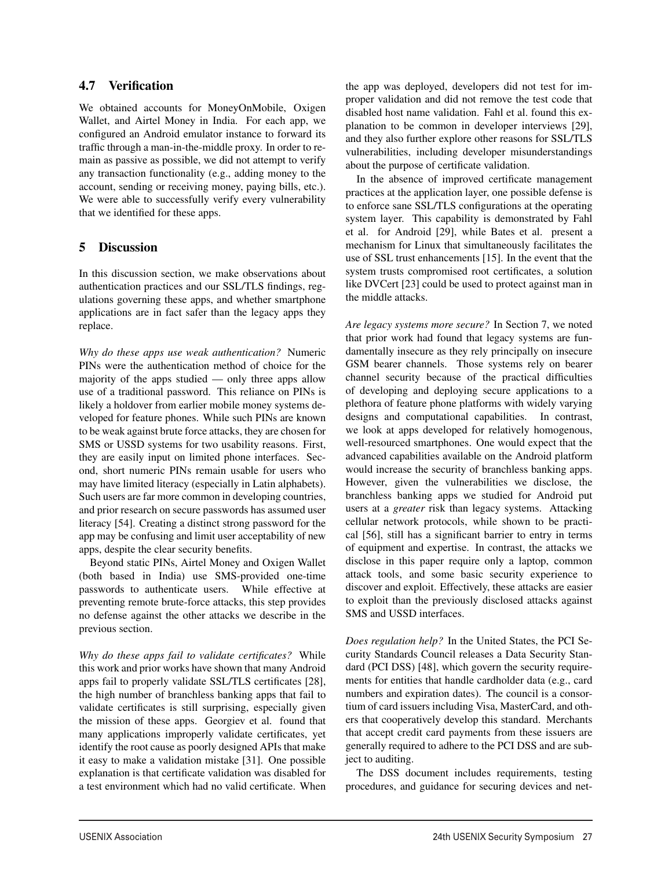### 4.7 Verification

We obtained accounts for MoneyOnMobile, Oxigen Wallet, and Airtel Money in India. For each app, we configured an Android emulator instance to forward its traffic through a man-in-the-middle proxy. In order to remain as passive as possible, we did not attempt to verify any transaction functionality (e.g., adding money to the account, sending or receiving money, paying bills, etc.). We were able to successfully verify every vulnerability that we identified for these apps.

### 5 Discussion

In this discussion section, we make observations about authentication practices and our SSL/TLS findings, regulations governing these apps, and whether smartphone applications are in fact safer than the legacy apps they replace.

*Why do these apps use weak authentication?* Numeric PINs were the authentication method of choice for the majority of the apps studied — only three apps allow use of a traditional password. This reliance on PINs is likely a holdover from earlier mobile money systems developed for feature phones. While such PINs are known to be weak against brute force attacks, they are chosen for SMS or USSD systems for two usability reasons. First, they are easily input on limited phone interfaces. Second, short numeric PINs remain usable for users who may have limited literacy (especially in Latin alphabets). Such users are far more common in developing countries, and prior research on secure passwords has assumed user literacy [54]. Creating a distinct strong password for the app may be confusing and limit user acceptability of new apps, despite the clear security benefits.

Beyond static PINs, Airtel Money and Oxigen Wallet (both based in India) use SMS-provided one-time passwords to authenticate users. While effective at preventing remote brute-force attacks, this step provides no defense against the other attacks we describe in the previous section.

*Why do these apps fail to validate certificates?* While this work and prior works have shown that many Android apps fail to properly validate SSL/TLS certificates [28], the high number of branchless banking apps that fail to validate certificates is still surprising, especially given the mission of these apps. Georgiev et al. found that many applications improperly validate certificates, yet identify the root cause as poorly designed APIs that make it easy to make a validation mistake [31]. One possible explanation is that certificate validation was disabled for a test environment which had no valid certificate. When the app was deployed, developers did not test for improper validation and did not remove the test code that disabled host name validation. Fahl et al. found this explanation to be common in developer interviews [29], and they also further explore other reasons for SSL/TLS vulnerabilities, including developer misunderstandings about the purpose of certificate validation.

In the absence of improved certificate management practices at the application layer, one possible defense is to enforce sane SSL/TLS configurations at the operating system layer. This capability is demonstrated by Fahl et al. for Android [29], while Bates et al. present a mechanism for Linux that simultaneously facilitates the use of SSL trust enhancements [15]. In the event that the system trusts compromised root certificates, a solution like DVCert [23] could be used to protect against man in the middle attacks.

*Are legacy systems more secure?* In Section 7, we noted that prior work had found that legacy systems are fundamentally insecure as they rely principally on insecure GSM bearer channels. Those systems rely on bearer channel security because of the practical difficulties of developing and deploying secure applications to a plethora of feature phone platforms with widely varying designs and computational capabilities. In contrast, we look at apps developed for relatively homogenous, well-resourced smartphones. One would expect that the advanced capabilities available on the Android platform would increase the security of branchless banking apps. However, given the vulnerabilities we disclose, the branchless banking apps we studied for Android put users at a *greater* risk than legacy systems. Attacking cellular network protocols, while shown to be practical [56], still has a significant barrier to entry in terms of equipment and expertise. In contrast, the attacks we disclose in this paper require only a laptop, common attack tools, and some basic security experience to discover and exploit. Effectively, these attacks are easier to exploit than the previously disclosed attacks against SMS and USSD interfaces.

*Does regulation help?* In the United States, the PCI Security Standards Council releases a Data Security Standard (PCI DSS) [48], which govern the security requirements for entities that handle cardholder data (e.g., card numbers and expiration dates). The council is a consortium of card issuers including Visa, MasterCard, and others that cooperatively develop this standard. Merchants that accept credit card payments from these issuers are generally required to adhere to the PCI DSS and are subject to auditing.

The DSS document includes requirements, testing procedures, and guidance for securing devices and net-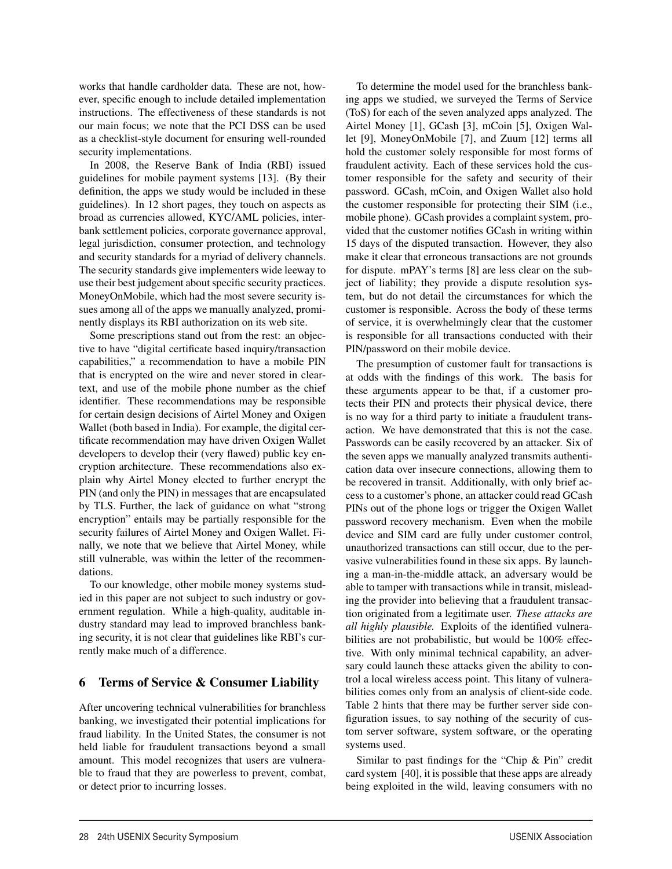works that handle cardholder data. These are not, however, specific enough to include detailed implementation instructions. The effectiveness of these standards is not our main focus; we note that the PCI DSS can be used as a checklist-style document for ensuring well-rounded security implementations.

In 2008, the Reserve Bank of India (RBI) issued guidelines for mobile payment systems [13]. (By their definition, the apps we study would be included in these guidelines). In 12 short pages, they touch on aspects as broad as currencies allowed, KYC/AML policies, interbank settlement policies, corporate governance approval, legal jurisdiction, consumer protection, and technology and security standards for a myriad of delivery channels. The security standards give implementers wide leeway to use their best judgement about specific security practices. MoneyOnMobile, which had the most severe security issues among all of the apps we manually analyzed, prominently displays its RBI authorization on its web site.

Some prescriptions stand out from the rest: an objective to have "digital certificate based inquiry/transaction capabilities," a recommendation to have a mobile PIN that is encrypted on the wire and never stored in cleartext, and use of the mobile phone number as the chief identifier. These recommendations may be responsible for certain design decisions of Airtel Money and Oxigen Wallet (both based in India). For example, the digital certificate recommendation may have driven Oxigen Wallet developers to develop their (very flawed) public key encryption architecture. These recommendations also explain why Airtel Money elected to further encrypt the PIN (and only the PIN) in messages that are encapsulated by TLS. Further, the lack of guidance on what "strong encryption" entails may be partially responsible for the security failures of Airtel Money and Oxigen Wallet. Finally, we note that we believe that Airtel Money, while still vulnerable, was within the letter of the recommendations.

To our knowledge, other mobile money systems studied in this paper are not subject to such industry or government regulation. While a high-quality, auditable industry standard may lead to improved branchless banking security, it is not clear that guidelines like RBI's currently make much of a difference.

## 6 Terms of Service & Consumer Liability

After uncovering technical vulnerabilities for branchless banking, we investigated their potential implications for fraud liability. In the United States, the consumer is not held liable for fraudulent transactions beyond a small amount. This model recognizes that users are vulnerable to fraud that they are powerless to prevent, combat, or detect prior to incurring losses.

To determine the model used for the branchless banking apps we studied, we surveyed the Terms of Service (ToS) for each of the seven analyzed apps analyzed. The Airtel Money [1], GCash [3], mCoin [5], Oxigen Wallet [9], MoneyOnMobile [7], and Zuum [12] terms all hold the customer solely responsible for most forms of fraudulent activity. Each of these services hold the customer responsible for the safety and security of their password. GCash, mCoin, and Oxigen Wallet also hold the customer responsible for protecting their SIM (i.e., mobile phone). GCash provides a complaint system, provided that the customer notifies GCash in writing within 15 days of the disputed transaction. However, they also make it clear that erroneous transactions are not grounds for dispute. mPAY's terms [8] are less clear on the subject of liability; they provide a dispute resolution system, but do not detail the circumstances for which the customer is responsible. Across the body of these terms of service, it is overwhelmingly clear that the customer is responsible for all transactions conducted with their PIN/password on their mobile device.

The presumption of customer fault for transactions is at odds with the findings of this work. The basis for these arguments appear to be that, if a customer protects their PIN and protects their physical device, there is no way for a third party to initiate a fraudulent transaction. We have demonstrated that this is not the case. Passwords can be easily recovered by an attacker. Six of the seven apps we manually analyzed transmits authentication data over insecure connections, allowing them to be recovered in transit. Additionally, with only brief access to a customer's phone, an attacker could read GCash PINs out of the phone logs or trigger the Oxigen Wallet password recovery mechanism. Even when the mobile device and SIM card are fully under customer control, unauthorized transactions can still occur, due to the pervasive vulnerabilities found in these six apps. By launching a man-in-the-middle attack, an adversary would be able to tamper with transactions while in transit, misleading the provider into believing that a fraudulent transaction originated from a legitimate user. *These attacks are all highly plausible.* Exploits of the identified vulnerabilities are not probabilistic, but would be 100% effective. With only minimal technical capability, an adversary could launch these attacks given the ability to control a local wireless access point. This litany of vulnerabilities comes only from an analysis of client-side code. Table 2 hints that there may be further server side configuration issues, to say nothing of the security of custom server software, system software, or the operating systems used.

Similar to past findings for the "Chip & Pin" credit card system [40], it is possible that these apps are already being exploited in the wild, leaving consumers with no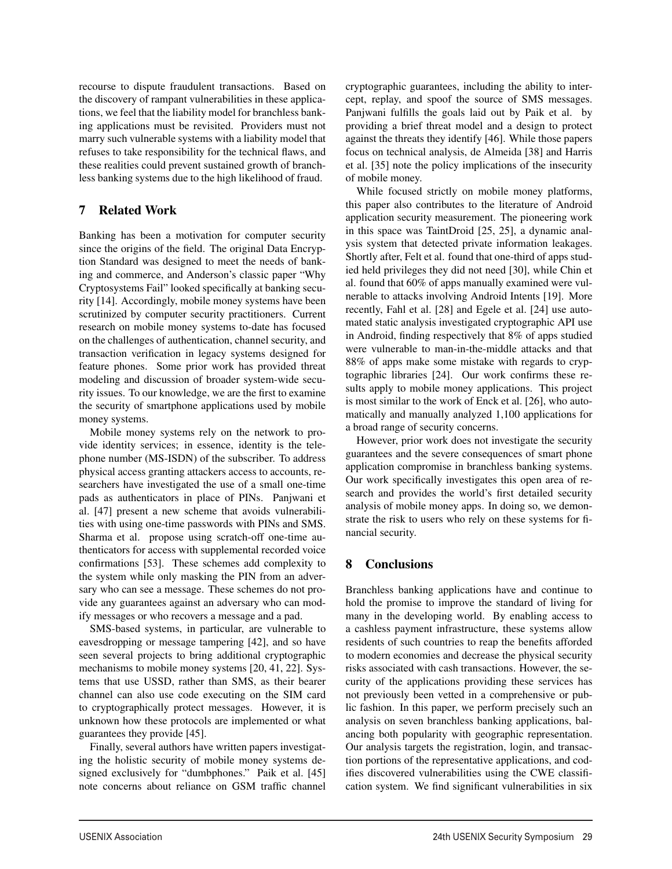recourse to dispute fraudulent transactions. Based on the discovery of rampant vulnerabilities in these applications, we feel that the liability model for branchless banking applications must be revisited. Providers must not marry such vulnerable systems with a liability model that refuses to take responsibility for the technical flaws, and these realities could prevent sustained growth of branchless banking systems due to the high likelihood of fraud.

### 7 Related Work

Banking has been a motivation for computer security since the origins of the field. The original Data Encryption Standard was designed to meet the needs of banking and commerce, and Anderson's classic paper "Why Cryptosystems Fail" looked specifically at banking security [14]. Accordingly, mobile money systems have been scrutinized by computer security practitioners. Current research on mobile money systems to-date has focused on the challenges of authentication, channel security, and transaction verification in legacy systems designed for feature phones. Some prior work has provided threat modeling and discussion of broader system-wide security issues. To our knowledge, we are the first to examine the security of smartphone applications used by mobile money systems.

Mobile money systems rely on the network to provide identity services; in essence, identity is the telephone number (MS-ISDN) of the subscriber. To address physical access granting attackers access to accounts, researchers have investigated the use of a small one-time pads as authenticators in place of PINs. Panjwani et al. [47] present a new scheme that avoids vulnerabilities with using one-time passwords with PINs and SMS. Sharma et al. propose using scratch-off one-time authenticators for access with supplemental recorded voice confirmations [53]. These schemes add complexity to the system while only masking the PIN from an adversary who can see a message. These schemes do not provide any guarantees against an adversary who can modify messages or who recovers a message and a pad.

SMS-based systems, in particular, are vulnerable to eavesdropping or message tampering [42], and so have seen several projects to bring additional cryptographic mechanisms to mobile money systems [20, 41, 22]. Systems that use USSD, rather than SMS, as their bearer channel can also use code executing on the SIM card to cryptographically protect messages. However, it is unknown how these protocols are implemented or what guarantees they provide [45].

Finally, several authors have written papers investigating the holistic security of mobile money systems designed exclusively for "dumbphones." Paik et al. [45] note concerns about reliance on GSM traffic channel cryptographic guarantees, including the ability to intercept, replay, and spoof the source of SMS messages. Panjwani fulfills the goals laid out by Paik et al. by providing a brief threat model and a design to protect against the threats they identify [46]. While those papers focus on technical analysis, de Almeida [38] and Harris et al. [35] note the policy implications of the insecurity of mobile money.

While focused strictly on mobile money platforms, this paper also contributes to the literature of Android application security measurement. The pioneering work in this space was TaintDroid [25, 25], a dynamic analysis system that detected private information leakages. Shortly after, Felt et al. found that one-third of apps studied held privileges they did not need [30], while Chin et al. found that 60% of apps manually examined were vulnerable to attacks involving Android Intents [19]. More recently, Fahl et al. [28] and Egele et al. [24] use automated static analysis investigated cryptographic API use in Android, finding respectively that 8% of apps studied were vulnerable to man-in-the-middle attacks and that 88% of apps make some mistake with regards to cryptographic libraries [24]. Our work confirms these results apply to mobile money applications. This project is most similar to the work of Enck et al. [26], who automatically and manually analyzed 1,100 applications for a broad range of security concerns.

However, prior work does not investigate the security guarantees and the severe consequences of smart phone application compromise in branchless banking systems. Our work specifically investigates this open area of research and provides the world's first detailed security analysis of mobile money apps. In doing so, we demonstrate the risk to users who rely on these systems for financial security.

## 8 Conclusions

13

Branchless banking applications have and continue to hold the promise to improve the standard of living for many in the developing world. By enabling access to a cashless payment infrastructure, these systems allow residents of such countries to reap the benefits afforded to modern economies and decrease the physical security risks associated with cash transactions. However, the security of the applications providing these services has not previously been vetted in a comprehensive or public fashion. In this paper, we perform precisely such an analysis on seven branchless banking applications, balancing both popularity with geographic representation. Our analysis targets the registration, login, and transaction portions of the representative applications, and codifies discovered vulnerabilities using the CWE classification system. We find significant vulnerabilities in six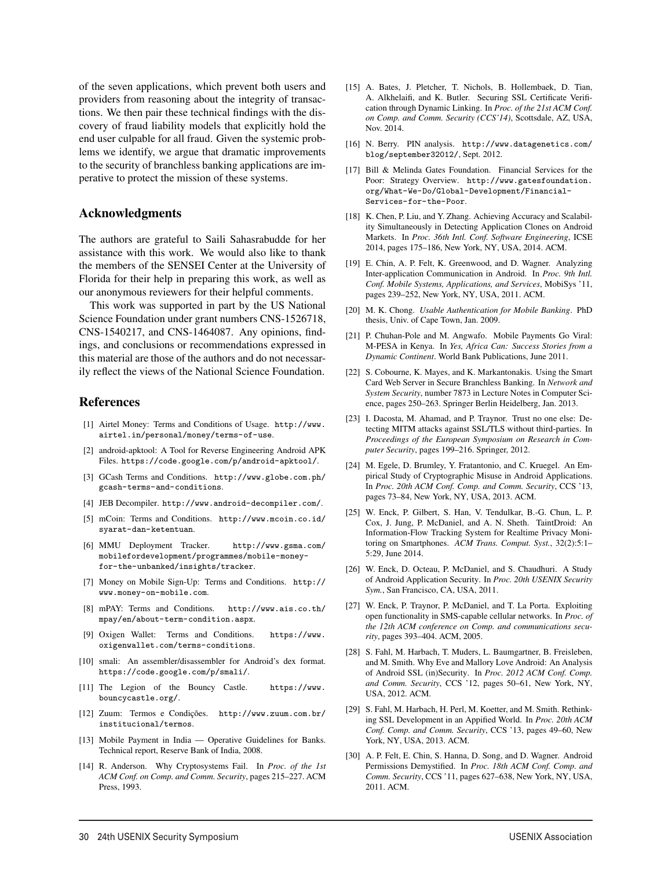of the seven applications, which prevent both users and providers from reasoning about the integrity of transactions. We then pair these technical findings with the discovery of fraud liability models that explicitly hold the end user culpable for all fraud. Given the systemic problems we identify, we argue that dramatic improvements to the security of branchless banking applications are imperative to protect the mission of these systems.

#### Acknowledgments

The authors are grateful to Saili Sahasrabudde for her assistance with this work. We would also like to thank the members of the SENSEI Center at the University of Florida for their help in preparing this work, as well as our anonymous reviewers for their helpful comments.

This work was supported in part by the US National Science Foundation under grant numbers CNS-1526718, CNS-1540217, and CNS-1464087. Any opinions, findings, and conclusions or recommendations expressed in this material are those of the authors and do not necessarily reflect the views of the National Science Foundation.

#### References

- [1] Airtel Money: Terms and Conditions of Usage. http://www. airtel.in/personal/money/terms-of-use.
- [2] android-apktool: A Tool for Reverse Engineering Android APK Files. https://code.google.com/p/android-apktool/.
- [3] GCash Terms and Conditions. http://www.globe.com.ph/ gcash-terms-and-conditions.
- [4] JEB Decompiler. http://www.android-decompiler.com/.
- [5] mCoin: Terms and Conditions. http://www.mcoin.co.id/ syarat-dan-ketentuan.
- [6] MMU Deployment Tracker. http://www.gsma.com/ mobilefordevelopment/programmes/mobile-moneyfor-the-unbanked/insights/tracker.
- [7] Money on Mobile Sign-Up: Terms and Conditions. http:// www.money-on-mobile.com.
- [8] mPAY: Terms and Conditions. http://www.ais.co.th/ mpay/en/about-term-condition.aspx.
- [9] Oxigen Wallet: Terms and Conditions. https://www. oxigenwallet.com/terms-conditions.
- [10] smali: An assembler/disassembler for Android's dex format. https://code.google.com/p/smali/.
- [11] The Legion of the Bouncy Castle. https://www. bouncycastle.org/.
- [12] Zuum: Termos e Condições. http://www.zuum.com.br/ institucional/termos.
- [13] Mobile Payment in India Operative Guidelines for Banks. Technical report, Reserve Bank of India, 2008.
- [14] R. Anderson. Why Cryptosystems Fail. In *Proc. of the 1st ACM Conf. on Comp. and Comm. Security*, pages 215–227. ACM Press, 1993.

- [15] A. Bates, J. Pletcher, T. Nichols, B. Hollembaek, D. Tian, A. Alkhelaifi, and K. Butler. Securing SSL Certificate Verification through Dynamic Linking. In *Proc. of the 21st ACM Conf. on Comp. and Comm. Security (CCS'14)*, Scottsdale, AZ, USA, Nov. 2014.
- [16] N. Berry. PIN analysis. http://www.datagenetics.com/ blog/september32012/, Sept. 2012.
- [17] Bill & Melinda Gates Foundation. Financial Services for the Poor: Strategy Overview. http://www.gatesfoundation. org/What-We-Do/Global-Development/Financial-Services-for-the-Poor.
- [18] K. Chen, P. Liu, and Y. Zhang. Achieving Accuracy and Scalability Simultaneously in Detecting Application Clones on Android Markets. In *Proc. 36th Intl. Conf. Software Engineering*, ICSE 2014, pages 175–186, New York, NY, USA, 2014. ACM.
- [19] E. Chin, A. P. Felt, K. Greenwood, and D. Wagner. Analyzing Inter-application Communication in Android. In *Proc. 9th Intl. Conf. Mobile Systems, Applications, and Services*, MobiSys '11, pages 239–252, New York, NY, USA, 2011. ACM.
- [20] M. K. Chong. *Usable Authentication for Mobile Banking*. PhD thesis, Univ. of Cape Town, Jan. 2009.
- [21] P. Chuhan-Pole and M. Angwafo. Mobile Payments Go Viral: M-PESA in Kenya. In *Yes, Africa Can: Success Stories from a Dynamic Continent*. World Bank Publications, June 2011.
- [22] S. Cobourne, K. Mayes, and K. Markantonakis. Using the Smart Card Web Server in Secure Branchless Banking. In *Network and System Security*, number 7873 in Lecture Notes in Computer Science, pages 250–263. Springer Berlin Heidelberg, Jan. 2013.
- [23] I. Dacosta, M. Ahamad, and P. Traynor. Trust no one else: Detecting MITM attacks against SSL/TLS without third-parties. In *Proceedings of the European Symposium on Research in Computer Security*, pages 199–216. Springer, 2012.
- [24] M. Egele, D. Brumley, Y. Fratantonio, and C. Kruegel. An Empirical Study of Cryptographic Misuse in Android Applications. In *Proc. 20th ACM Conf. Comp. and Comm. Security*, CCS '13, pages 73–84, New York, NY, USA, 2013. ACM.
- [25] W. Enck, P. Gilbert, S. Han, V. Tendulkar, B.-G. Chun, L. P. Cox, J. Jung, P. McDaniel, and A. N. Sheth. TaintDroid: An Information-Flow Tracking System for Realtime Privacy Monitoring on Smartphones. *ACM Trans. Comput. Syst.*, 32(2):5:1– 5:29, June 2014.
- [26] W. Enck, D. Octeau, P. McDaniel, and S. Chaudhuri. A Study of Android Application Security. In *Proc. 20th USENIX Security Sym.*, San Francisco, CA, USA, 2011.
- [27] W. Enck, P. Traynor, P. McDaniel, and T. La Porta. Exploiting open functionality in SMS-capable cellular networks. In *Proc. of the 12th ACM conference on Comp. and communications security*, pages 393–404. ACM, 2005.
- [28] S. Fahl, M. Harbach, T. Muders, L. Baumgartner, B. Freisleben, and M. Smith. Why Eve and Mallory Love Android: An Analysis of Android SSL (in)Security. In *Proc. 2012 ACM Conf. Comp. and Comm. Security*, CCS '12, pages 50–61, New York, NY, USA, 2012. ACM.
- [29] S. Fahl, M. Harbach, H. Perl, M. Koetter, and M. Smith. Rethinking SSL Development in an Appified World. In *Proc. 20th ACM Conf. Comp. and Comm. Security*, CCS '13, pages 49–60, New York, NY, USA, 2013. ACM.
- [30] A. P. Felt, E. Chin, S. Hanna, D. Song, and D. Wagner. Android Permissions Demystified. In *Proc. 18th ACM Conf. Comp. and Comm. Security*, CCS '11, pages 627–638, New York, NY, USA, 2011. ACM.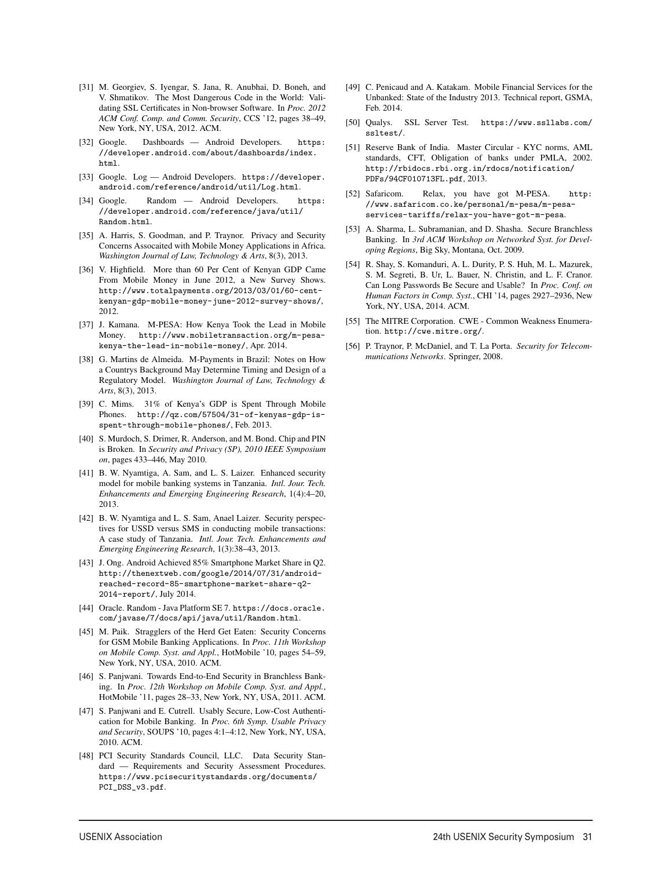- [31] M. Georgiev, S. Iyengar, S. Jana, R. Anubhai, D. Boneh, and V. Shmatikov. The Most Dangerous Code in the World: Validating SSL Certificates in Non-browser Software. In *Proc. 2012 ACM Conf. Comp. and Comm. Security*, CCS '12, pages 38–49, New York, NY, USA, 2012. ACM.
- [32] Google. Dashboards Android Developers. https: //developer.android.com/about/dashboards/index. html.
- [33] Google. Log Android Developers. https://developer. android.com/reference/android/util/Log.html.
- [34] Google. Random Android Developers. https: //developer.android.com/reference/java/util/ Random.html.
- [35] A. Harris, S. Goodman, and P. Traynor. Privacy and Security Concerns Assocaited with Mobile Money Applications in Africa. *Washington Journal of Law, Technology & Arts*, 8(3), 2013.
- [36] V. Highfield. More than 60 Per Cent of Kenyan GDP Came From Mobile Money in June 2012, a New Survey Shows. http://www.totalpayments.org/2013/03/01/60-centkenyan-gdp-mobile-money-june-2012-survey-shows/, 2012.
- [37] J. Kamana. M-PESA: How Kenya Took the Lead in Mobile Money. http://www.mobiletransaction.org/m-pesakenya-the-lead-in-mobile-money/, Apr. 2014.
- [38] G. Martins de Almeida. M-Payments in Brazil: Notes on How a Countrys Background May Determine Timing and Design of a Regulatory Model. *Washington Journal of Law, Technology & Arts*, 8(3), 2013.
- [39] C. Mims. 31% of Kenya's GDP is Spent Through Mobile Phones. http://qz.com/57504/31-of-kenyas-gdp-isspent-through-mobile-phones/, Feb. 2013.
- [40] S. Murdoch, S. Drimer, R. Anderson, and M. Bond. Chip and PIN is Broken. In *Security and Privacy (SP), 2010 IEEE Symposium on*, pages 433–446, May 2010.
- [41] B. W. Nyamtiga, A. Sam, and L. S. Laizer. Enhanced security model for mobile banking systems in Tanzania. *Intl. Jour. Tech. Enhancements and Emerging Engineering Research*, 1(4):4–20, 2013.
- [42] B. W. Nyamtiga and L. S. Sam, Anael Laizer. Security perspectives for USSD versus SMS in conducting mobile transactions: A case study of Tanzania. *Intl. Jour. Tech. Enhancements and Emerging Engineering Research*, 1(3):38–43, 2013.
- [43] J. Ong. Android Achieved 85% Smartphone Market Share in Q2. http://thenextweb.com/google/2014/07/31/androidreached-record-85-smartphone-market-share-q2- 2014-report/, July 2014.
- [44] Oracle. Random Java Platform SE 7. https://docs.oracle. com/javase/7/docs/api/java/util/Random.html.
- [45] M. Paik. Stragglers of the Herd Get Eaten: Security Concerns for GSM Mobile Banking Applications. In *Proc. 11th Workshop on Mobile Comp. Syst. and Appl.*, HotMobile '10, pages 54–59, New York, NY, USA, 2010. ACM.
- [46] S. Panjwani. Towards End-to-End Security in Branchless Banking. In *Proc. 12th Workshop on Mobile Comp. Syst. and Appl.*, HotMobile '11, pages 28–33, New York, NY, USA, 2011. ACM.
- [47] S. Panjwani and E. Cutrell. Usably Secure, Low-Cost Authentication for Mobile Banking. In *Proc. 6th Symp. Usable Privacy and Security*, SOUPS '10, pages 4:1–4:12, New York, NY, USA, 2010. ACM.
- [48] PCI Security Standards Council, LLC. Data Security Standard — Requirements and Security Assessment Procedures. https://www.pcisecuritystandards.org/documents/ PCI\_DSS\_v3.pdf.

- [49] C. Penicaud and A. Katakam. Mobile Financial Services for the Unbanked: State of the Industry 2013. Technical report, GSMA, Feb. 2014.
- [50] Qualys. SSL Server Test. https://www.ssllabs.com/ ssltest/.
- [51] Reserve Bank of India. Master Circular KYC norms, AML standards, CFT, Obligation of banks under PMLA, 2002. http://rbidocs.rbi.org.in/rdocs/notification/ PDFs/94CF010713FL.pdf, 2013.
- [52] Safaricom. Relax, you have got M-PESA. http: //www.safaricom.co.ke/personal/m-pesa/m-pesaservices-tariffs/relax-you-have-got-m-pesa.
- [53] A. Sharma, L. Subramanian, and D. Shasha. Secure Branchless Banking. In *3rd ACM Workshop on Networked Syst. for Developing Regions*, Big Sky, Montana, Oct. 2009.
- [54] R. Shay, S. Komanduri, A. L. Durity, P. S. Huh, M. L. Mazurek, S. M. Segreti, B. Ur, L. Bauer, N. Christin, and L. F. Cranor. Can Long Passwords Be Secure and Usable? In *Proc. Conf. on Human Factors in Comp. Syst.*, CHI '14, pages 2927–2936, New York, NY, USA, 2014. ACM.
- [55] The MITRE Corporation. CWE Common Weakness Enumeration. http://cwe.mitre.org/.
- [56] P. Traynor, P. McDaniel, and T. La Porta. *Security for Telecommunications Networks*. Springer, 2008.